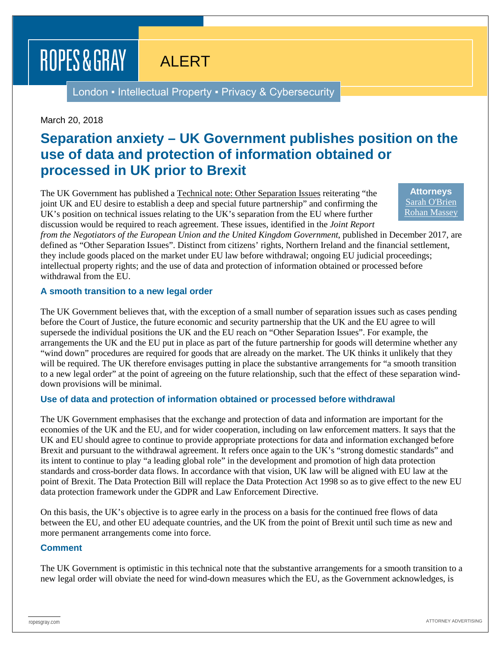ROPES & GRAY

# ALERT

London • Intellectual Property • Privacy & Cybersecurity

#### March 20, 2018

### **Separation anxiety – UK Government publishes position on the use of data and protection of information obtained or processed in UK prior to Brexit**

The UK Government has published a Technical note: Other Separation Issues reiterating "the joint UK and EU desire to establish a deep and special future partnership" and confirming the UK's position on technical issues relating to the UK's separation from the EU where further discussion would be required to reach agreement. These issues, identified in the *Joint Report* 

**Attorneys** [Sarah O'Brien](https://www.ropesgray.com/en/biographies/o/sarah-obrien) [Rohan Massey](https://www.ropesgray.com/en/biographies/m/rohan-massey)

*from the Negotiators of the European Union and the United Kingdom Government*, published in December 2017, are defined as "Other Separation Issues". Distinct from citizens' rights, Northern Ireland and the financial settlement, they include goods placed on the market under EU law before withdrawal; ongoing EU judicial proceedings; intellectual property rights; and the use of data and protection of information obtained or processed before withdrawal from the EU.

#### **A smooth transition to a new legal order**

The UK Government believes that, with the exception of a small number of separation issues such as cases pending before the Court of Justice, the future economic and security partnership that the UK and the EU agree to will supersede the individual positions the UK and the EU reach on "Other Separation Issues". For example, the arrangements the UK and the EU put in place as part of the future partnership for goods will determine whether any "wind down" procedures are required for goods that are already on the market. The UK thinks it unlikely that they will be required. The UK therefore envisages putting in place the substantive arrangements for "a smooth transition to a new legal order" at the point of agreeing on the future relationship, such that the effect of these separation winddown provisions will be minimal.

#### **Use of data and protection of information obtained or processed before withdrawal**

The UK Government emphasises that the exchange and protection of data and information are important for the economies of the UK and the EU, and for wider cooperation, including on law enforcement matters. It says that the UK and EU should agree to continue to provide appropriate protections for data and information exchanged before Brexit and pursuant to the withdrawal agreement. It refers once again to the UK's "strong domestic standards" and its intent to continue to play "a leading global role" in the development and promotion of high data protection standards and cross-border data flows. In accordance with that vision, UK law will be aligned with EU law at the point of Brexit. The Data Protection Bill will replace the Data Protection Act 1998 so as to give effect to the new EU data protection framework under the GDPR and Law Enforcement Directive.

On this basis, the UK's objective is to agree early in the process on a basis for the continued free flows of data between the EU, and other EU adequate countries, and the UK from the point of Brexit until such time as new and more permanent arrangements come into force.

#### **Comment**

The UK Government is optimistic in this technical note that the substantive arrangements for a smooth transition to a new legal order will obviate the need for wind-down measures which the EU, as the Government acknowledges, is